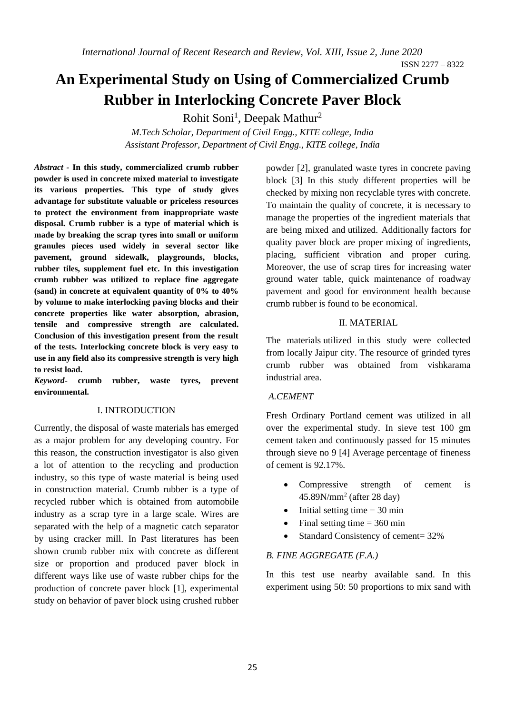ISSN 2277 – 8322

# **An Experimental Study on Using of Commercialized Crumb Rubber in Interlocking Concrete Paver Block**

Rohit Soni<sup>1</sup>, Deepak Mathur<sup>2</sup>

*M.Tech Scholar, Department of Civil Engg., KITE college, India Assistant Professor, Department of Civil Engg., KITE college, India*

*Abstract -* **In this study, commercialized crumb rubber powder is used in concrete mixed material to investigate its various properties. This type of study gives advantage for substitute valuable or priceless resources to protect the environment from inappropriate waste disposal. Crumb rubber is a type of material which is made by breaking the scrap tyres into small or uniform granules pieces used widely in several sector like pavement, ground sidewalk, playgrounds, blocks, rubber tiles, supplement fuel etc. In this investigation crumb rubber was utilized to replace fine aggregate (sand) in concrete at equivalent quantity of 0% to 40% by volume to make interlocking paving blocks and their concrete properties like water absorption, abrasion, tensile and compressive strength are calculated. Conclusion of this investigation present from the result of the tests. Interlocking concrete block is very easy to use in any field also its compressive strength is very high to resist load.**

*Keyword***- crumb rubber, waste tyres, prevent environmental.**

## I. INTRODUCTION

Currently, the disposal of waste materials has emerged as a major problem for any developing country. For this reason, the construction investigator is also given a lot of attention to the recycling and production industry, so this type of waste material is being used in construction material. Crumb rubber is a type of recycled rubber which is obtained from automobile industry as a scrap tyre in a large scale. Wires are separated with the help of a magnetic catch separator by using cracker mill. In Past literatures has been shown crumb rubber mix with concrete as different size or proportion and produced paver block in different ways like use of waste rubber chips for the production of concrete paver block [1], experimental study on behavior of paver block using crushed rubber

powder [2], granulated waste tyres in concrete paving block [3] In this study different properties will be checked by mixing non recyclable tyres with concrete. To maintain the quality of concrete, it is necessary to manage the properties of the ingredient materials that are being mixed and utilized. Additionally factors for quality paver block are proper mixing of ingredients, placing, sufficient vibration and proper curing. Moreover, the use of scrap tires for increasing water ground water table, quick maintenance of roadway pavement and good for environment health because crumb rubber is found to be economical.

## II. MATERIAL

The materials utilized in this study were collected from locally Jaipur city. The resource of grinded tyres crumb rubber was obtained from vishkarama industrial area.

## *A.CEMENT*

Fresh Ordinary Portland cement was utilized in all over the experimental study. In sieve test 100 gm cement taken and continuously passed for 15 minutes through sieve no 9 [4] Average percentage of fineness of cement is 92.17%.

- Compressive strength of cement is 45.89N/mm<sup>2</sup> (after 28 day)
- Initial setting time  $= 30$  min
- Final setting time  $= 360$  min
- Standard Consistency of cement=  $32\%$

## *B. FINE AGGREGATE (F.A.)*

In this test use nearby available sand. In this experiment using 50: 50 proportions to mix sand with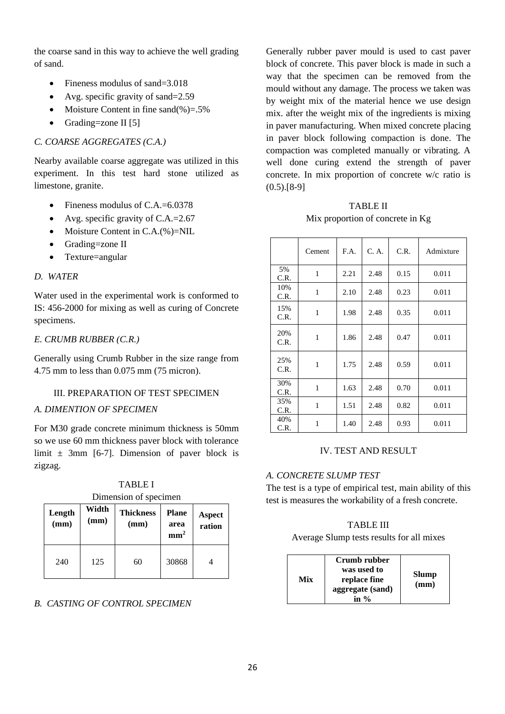the coarse sand in this way to achieve the well grading of sand.

- Fineness modulus of sand=3.018
- Avg. specific gravity of sand=2.59
- Moisture Content in fine sand $(\%)=5\%$
- Grading=zone II [5]

## *C. COARSE AGGREGATES (C.A.)*

Nearby available coarse aggregate was utilized in this experiment. In this test hard stone utilized as limestone, granite.

- Fineness modulus of C.A.=6.0378
- Avg. specific gravity of  $C.A.=2.67$
- Moisture Content in  $C.A.(%)=NIL$
- Grading=zone II
- Texture=angular

## *D. WATER*

Water used in the experimental work is conformed to IS: 456-2000 for mixing as well as curing of Concrete specimens.

## *E. CRUMB RUBBER (C.R.)*

Generally using Crumb Rubber in the size range from 4.75 mm to less than 0.075 mm (75 micron).

## III. PREPARATION OF TEST SPECIMEN

## *A. DIMENTION OF SPECIMEN*

For M30 grade concrete minimum thickness is 50mm so we use 60 mm thickness paver block with tolerance limit  $\pm$  3mm [6-7]. Dimension of paver block is zigzag.

TABLE I

Dimension of specimen

| Length<br>(mm) | Width<br>(mm) | <b>Thickness</b><br>(mm) | <b>Plane</b><br>area<br>mm <sup>2</sup> | <b>Aspect</b><br>ration |
|----------------|---------------|--------------------------|-----------------------------------------|-------------------------|
| 240            | 125           | 60                       | 30868                                   |                         |

## *B. CASTING OF CONTROL SPECIMEN*

Generally rubber paver mould is used to cast paver block of concrete. This paver block is made in such a way that the specimen can be removed from the mould without any damage. The process we taken was by weight mix of the material hence we use design mix. after the weight mix of the ingredients is mixing in paver manufacturing. When mixed concrete placing in paver block following compaction is done. The compaction was completed manually or vibrating. A well done curing extend the strength of paver concrete. In mix proportion of concrete w/c ratio is  $(0.5)$ .[8-9]

## TABLE II Mix proportion of concrete in Kg

|             | Cement | F.A. | C. A. | C.R. | Admixture |
|-------------|--------|------|-------|------|-----------|
| 5%<br>C.R.  | 1      | 2.21 | 2.48  | 0.15 | 0.011     |
| 10%<br>C.R. | 1      | 2.10 | 2.48  | 0.23 | 0.011     |
| 15%<br>C.R. | 1      | 1.98 | 2.48  | 0.35 | 0.011     |
| 20%<br>C.R. | 1      | 1.86 | 2.48  | 0.47 | 0.011     |
| 25%<br>C.R. | 1      | 1.75 | 2.48  | 0.59 | 0.011     |
| 30%<br>C.R. | 1      | 1.63 | 2.48  | 0.70 | 0.011     |
| 35%<br>C.R. | 1      | 1.51 | 2.48  | 0.82 | 0.011     |
| 40%<br>C.R. | 1      | 1.40 | 2.48  | 0.93 | 0.011     |

## IV. TEST AND RESULT

## *A. CONCRETE SLUMP TEST*

The test is a type of empirical test, main ability of this test is measures the workability of a fresh concrete.

## TABLE III

Average Slump tests results for all mixes

|     | Crumb rubber     |       |
|-----|------------------|-------|
|     | was used to      | Slump |
| Mix | replace fine     | (mm)  |
|     | aggregate (sand) |       |
|     | in $\%$          |       |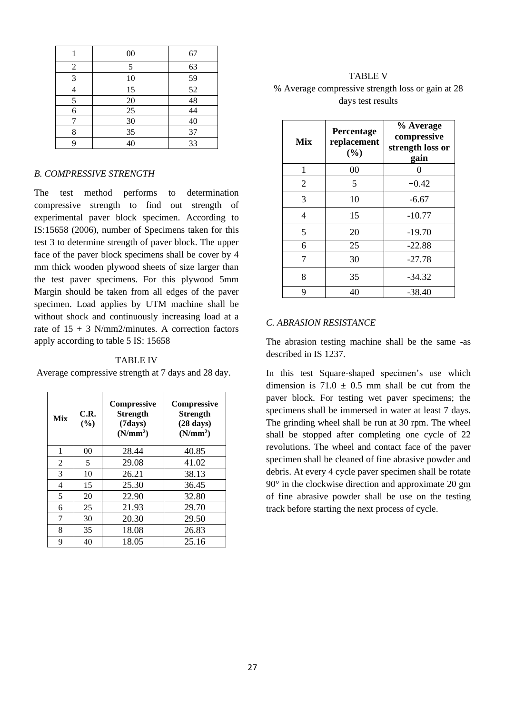|                | 00              | 67              |
|----------------|-----------------|-----------------|
| $\overline{2}$ | 5               | 63              |
| 3              | 10              | 59              |
|                | 15              | $\overline{52}$ |
| 5              | <b>20</b>       | $\overline{48}$ |
| 6              | $\overline{25}$ | 44              |
|                | 30              | 40              |
| 8              | 35              | 37              |
|                | 40              | 33              |

#### *B. COMPRESSIVE STRENGTH*

The test method performs to determination compressive strength to find out strength of experimental paver block specimen. According to IS:15658 (2006), number of Specimens taken for this test 3 to determine strength of paver block. The upper face of the paver block specimens shall be cover by 4 mm thick wooden plywood sheets of size larger than the test paver specimens. For this plywood 5mm Margin should be taken from all edges of the paver specimen. Load applies by UTM machine shall be without shock and continuously increasing load at a rate of  $15 + 3$  N/mm2/minutes. A correction factors apply according to table 5 IS: 15658

TABLE IV Average compressive strength at 7 days and 28 day.

| Mix | C.R.<br>(%) | <b>Compressive</b><br><b>Strength</b><br>(7 days)<br>(N/mm <sup>2</sup> ) | <b>Compressive</b><br><b>Strength</b><br>$(28 \text{ days})$<br>(N/mm <sup>2</sup> ) |
|-----|-------------|---------------------------------------------------------------------------|--------------------------------------------------------------------------------------|
| 1   | 00          | 28.44                                                                     | 40.85                                                                                |
| 2   | 5           | 29.08                                                                     | 41.02                                                                                |
| 3   | 10          | 26.21                                                                     | 38.13                                                                                |
| 4   | 15          | 25.30                                                                     | 36.45                                                                                |
| 5   | 20          | 22.90                                                                     | 32.80                                                                                |
| 6   | 25          | 21.93                                                                     | 29.70                                                                                |
| 7   | 30          | 20.30                                                                     | 29.50                                                                                |
| 8   | 35          | 18.08                                                                     | 26.83                                                                                |
| 9   | 40          | 18.05                                                                     | 25.16                                                                                |

## TABLE V % Average compressive strength loss or gain at 28 days test results

| Mix            | Percentage<br>replacement<br>(%) | % Average<br>compressive<br>strength loss or<br>gain |
|----------------|----------------------------------|------------------------------------------------------|
| 1              | 00                               |                                                      |
| $\overline{2}$ | 5                                | $+0.42$                                              |
| 3              | 10                               | $-6.67$                                              |
| 4              | 15                               | $-10.77$                                             |
| 5              | 20                               | $-19.70$                                             |
| 6              | 25                               | $-22.88$                                             |
| 7              | 30                               | $-27.78$                                             |
| 8              | 35                               | $-34.32$                                             |
| 9              | 40                               | $-38.40$                                             |

## *C. ABRASION RESISTANCE*

The abrasion testing machine shall be the same -as described in IS 1237.

In this test Square-shaped specimen's use which dimension is  $71.0 \pm 0.5$  mm shall be cut from the paver block. For testing wet paver specimens; the specimens shall be immersed in water at least 7 days. The grinding wheel shall be run at 30 rpm. The wheel shall be stopped after completing one cycle of 22 revolutions. The wheel and contact face of the paver specimen shall be cleaned of fine abrasive powder and debris. At every 4 cycle paver specimen shall be rotate 90° in the clockwise direction and approximate 20 gm of fine abrasive powder shall be use on the testing track before starting the next process of cycle.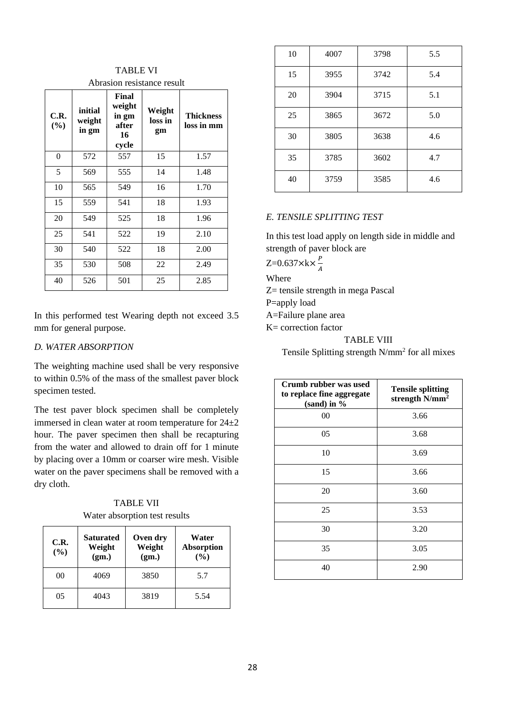| Abrasion resistance result |                            |                                                  |                         |                                |
|----------------------------|----------------------------|--------------------------------------------------|-------------------------|--------------------------------|
| C.R.<br>$(\%)$             | initial<br>weight<br>in gm | Final<br>weight<br>in gm<br>after<br>16<br>cycle | Weight<br>loss in<br>gm | <b>Thickness</b><br>loss in mm |
| $\theta$                   | 572                        | 557                                              | 15                      | 1.57                           |
| 5                          | 569                        | 555                                              | 14                      | 1.48                           |
| 10                         | 565                        | 549                                              | 16                      | 1.70                           |
| 15                         | 559                        | 541                                              | 18                      | 1.93                           |
| 20                         | 549                        | 525                                              | 18                      | 1.96                           |
| 25                         | 541                        | 522                                              | 19                      | 2.10                           |
| 30                         | 540                        | 522                                              | 18                      | 2.00                           |
| 35                         | 530                        | 508                                              | 22                      | 2.49                           |
| 40                         | 526                        | 501                                              | 25                      | 2.85                           |

TABLE VI

In this performed test Wearing depth not exceed 3.5 mm for general purpose.

## *D. WATER ABSORPTION*

The weighting machine used shall be very responsive to within 0.5% of the mass of the smallest paver block specimen tested.

The test paver block specimen shall be completely immersed in clean water at room temperature for 24±2 hour. The paver specimen then shall be recapturing from the water and allowed to drain off for 1 minute by placing over a 10mm or coarser wire mesh. Visible water on the paver specimens shall be removed with a dry cloth.

TABLE VII Water absorption test results

| C.R.<br>(%) | <b>Saturated</b><br>Weight<br>(gm.) | Oven dry<br>Weight<br>(gm.) | Water<br><b>Absorption</b><br>$($ %) |
|-------------|-------------------------------------|-----------------------------|--------------------------------------|
| 00          | 4069                                | 3850                        | 5.7                                  |
| 05          | 4043                                | 3819                        | 5.54                                 |

| 10 | 4007 | 3798 | 5.5 |
|----|------|------|-----|
| 15 | 3955 | 3742 | 5.4 |
| 20 | 3904 | 3715 | 5.1 |
| 25 | 3865 | 3672 | 5.0 |
| 30 | 3805 | 3638 | 4.6 |
| 35 | 3785 | 3602 | 4.7 |
| 40 | 3759 | 3585 | 4.6 |

## *E. TENSILE SPLITTING TEST*

In this test load apply on length side in middle and strength of paver block are

Z=0.637×k $\times \frac{P}{4}$  $\overline{A}$ 

Where

Z= tensile strength in mega Pascal

P=apply load

A=Failure plane area

K= correction factor

#### TABLE VIII

Tensile Splitting strength N/mm<sup>2</sup> for all mixes

| Crumb rubber was used<br>to replace fine aggregate<br>$(sand)$ in $%$ | <b>Tensile splitting</b><br>strength $N/mm^2$ |
|-----------------------------------------------------------------------|-----------------------------------------------|
| 00                                                                    | 3.66                                          |
| 05                                                                    | 3.68                                          |
| 10                                                                    | 3.69                                          |
| 15                                                                    | 3.66                                          |
| 20                                                                    | 3.60                                          |
| 25                                                                    | 3.53                                          |
| 30                                                                    | 3.20                                          |
| 35                                                                    | 3.05                                          |
| 40                                                                    | 2.90                                          |